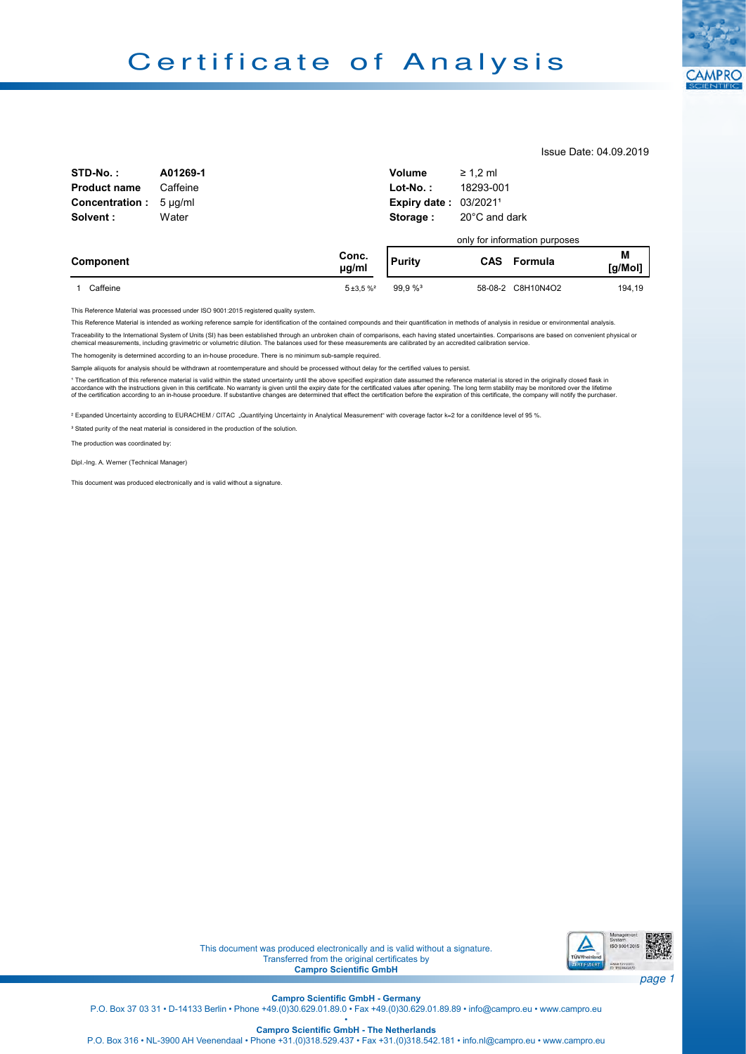

Issue Date: 04.09.2019

| STD-No.:<br><b>Product name</b><br><b>Concentration:</b> | A01269-1<br>Caffeine<br>$5 \mu q/ml$ |                     | Volume<br>$Lot-No.$ :<br><b>Expiry date: 03/20211</b> | $\geq 1.2$ ml<br>18293-001 |                                                     |              |
|----------------------------------------------------------|--------------------------------------|---------------------|-------------------------------------------------------|----------------------------|-----------------------------------------------------|--------------|
| Solvent:                                                 | Water                                |                     | Storage:                                              | 20°C and dark              |                                                     |              |
| Component                                                |                                      | Conc.<br>$\mu$ g/ml | <b>Purity</b>                                         |                            | only for information purposes<br><b>CAS</b> Formula | M<br>[g/Mol] |
| Caffeine                                                 |                                      | $5 + 3.5%$          | 99.9%                                                 |                            | 58-08-2 C8H10N4O2                                   | 194.19       |

This Reference Material was processed under ISO 9001:2015 registered quality system.

This Reference Material is intended as working reference sample for identification of the contained compounds and their quantification in methods of analysis in residue or environmental analysis

Traceability to the International System of Units (SI) has been established through an unbroken chain of comparisons, each having stated uncertainties. Comparisons are based on convenient physical or<br>chemical measurements,

The homogenity is determined according to an in-house procedure. There is no minimum sub-sample required.

Sample aliquots for analysis should be withdrawn at roomtemperature and should be processed without delay for the certified values to persist.

<sup>1</sup> The certification of this reference material is valid within the stated uncertainty until the above specified expiration date assumed the reference material is stored in the originally closed flask in accordance with the instructions given in this certificate. No warranty is given until the expiry date for the certificated values after opening. The long term stability may be monitored over the lifetime<br>of the certificat

² Expanded Uncertainty according to EURACHEM / CITAC "Quantifying Uncertainty in Analytical Measurement" with coverage factor k=2 for a conifdence level of 95 %.

<sup>3</sup> Stated purity of the neat material is considered in the production of the solution

The production was coordinated by:

Dipl.-Ing. A. Werner (Technical Manager)

This document was produced electronically and is valid without a signature.



This document was produced electronically and is valid without a signature. Transferred from the original certificates by **Campro Scientific GmbH** 

**Campro Scientiic GmbH - Germany**

P.O. Box 37 03 31 • D-14133 Berlin • Phone +49.(0)30.629.01.89.0 • Fax +49.(0)30.629.01.89.89 • info@campro.eu •<www.campro.eu> •

**Campro Scientiic GmbH - The Netherlands**

P.O. Box 316 • NL-3900 AH Veenendaal • Phone +31.(0)318.529.437 • Fax +31.(0)318.542.181 • info.nl@campro.eu • <www.campro.eu>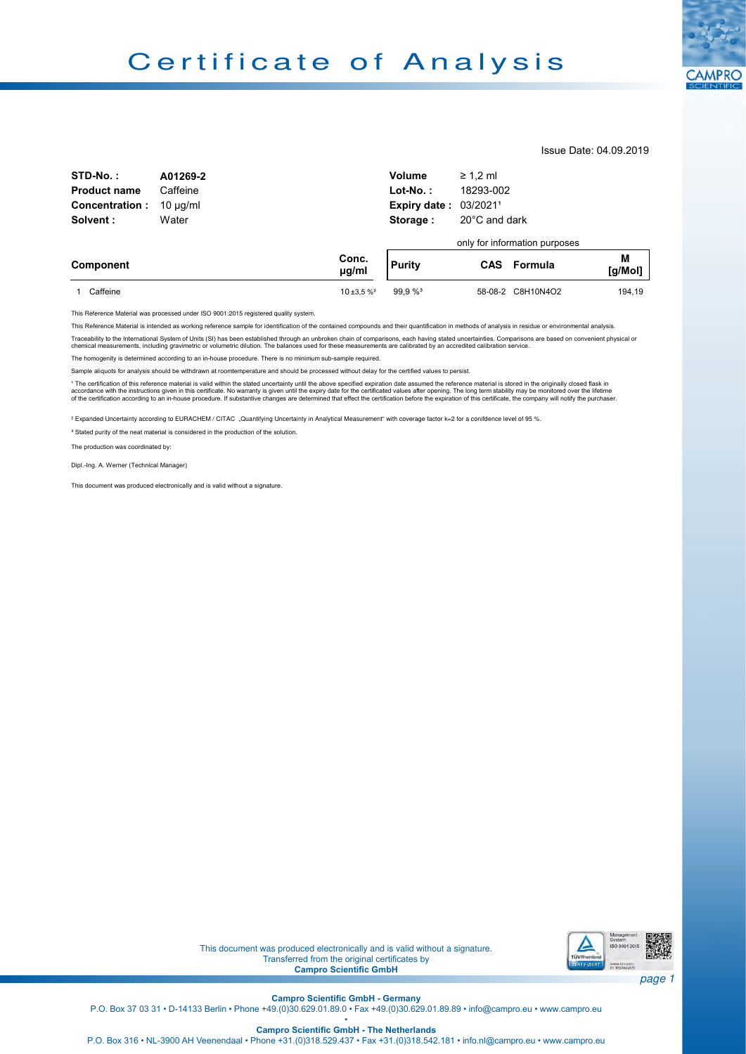

Issue Date: 04.09.2019

| STD-No.:              | A01269-2      |                     | Volume                       | $\geq 1.2$ ml |                               |              |
|-----------------------|---------------|---------------------|------------------------------|---------------|-------------------------------|--------------|
| <b>Product name</b>   | Caffeine      |                     | $Lot-No.$ :                  | 18293-002     |                               |              |
| <b>Concentration:</b> | $10 \mu q/ml$ |                     | <b>Expiry date: 03/20211</b> |               |                               |              |
| Solvent:              | Water         |                     | Storage:                     | 20°C and dark |                               |              |
|                       |               |                     |                              |               | only for information purposes |              |
| Component             |               | Conc.<br>$\mu$ g/ml | <b>Purity</b>                |               | <b>CAS</b> Formula            | M<br>[g/Mol] |
| Caffeine              |               | $10 + 3.5 %$        | 99.9%                        |               | 58-08-2 C8H10N4O2             | 194.19       |

This Reference Material was processed under ISO 9001:2015 registered quality system.

This Reference Material is intended as working reference sample for identification of the contained compounds and their quantification in methods of analysis in residue or environmental analysis. Traceability to the International System of Units (SI) has been established through an unbroken chain of comparisons, each having stated uncertainties. Comparisons are based on convenient physical or

chemical measurements, including gravimetric or volumetric dilution. The balances used for these measurements are calibrated by an accredited calibration service.

The homogenity is determined according to an in-house procedure. There is no minimum sub-sample required.

Sample aliquots for analysis should be withdrawn at roomtemperature and should be processed without delay for the certified values to persist.

\* The certification of this reference material is valid within the stated uncertainty until the above specified expiration date assumed the reference material is stored in the originally closed flask in<br>accordance with the

² Expanded Uncertainty according to EURACHEM / CITAC "Quantifying Uncertainty in Analytical Measurement" with coverage factor k=2 for a conifdence level of 95 %.

<sup>3</sup> Stated purity of the neat material is considered in the production of the solution.

The production was coordinated by:

Dipl.-Ing. A. Werner (Technical Manager)

This document was produced electronically and is valid without a signature.



page 1

Transferred from the original certificates by **Campro Scientific GmbH** 

**Campro Scientiic GmbH - Germany** •

This document was produced electronically and is valid without a signature.

P.O. Box 37 03 31 • D-14133 Berlin • Phone +49.(0)30.629.01.89.0 • Fax +49.(0)30.629.01.89.89 • info@campro.eu •<www.campro.eu>

**Campro Scientiic GmbH - The Netherlands**

P.O. Box 316 • NL-3900 AH Veenendaal • Phone +31.(0)318.529.437 • Fax +31.(0)318.542.181 • info.nl@campro.eu • <www.campro.eu>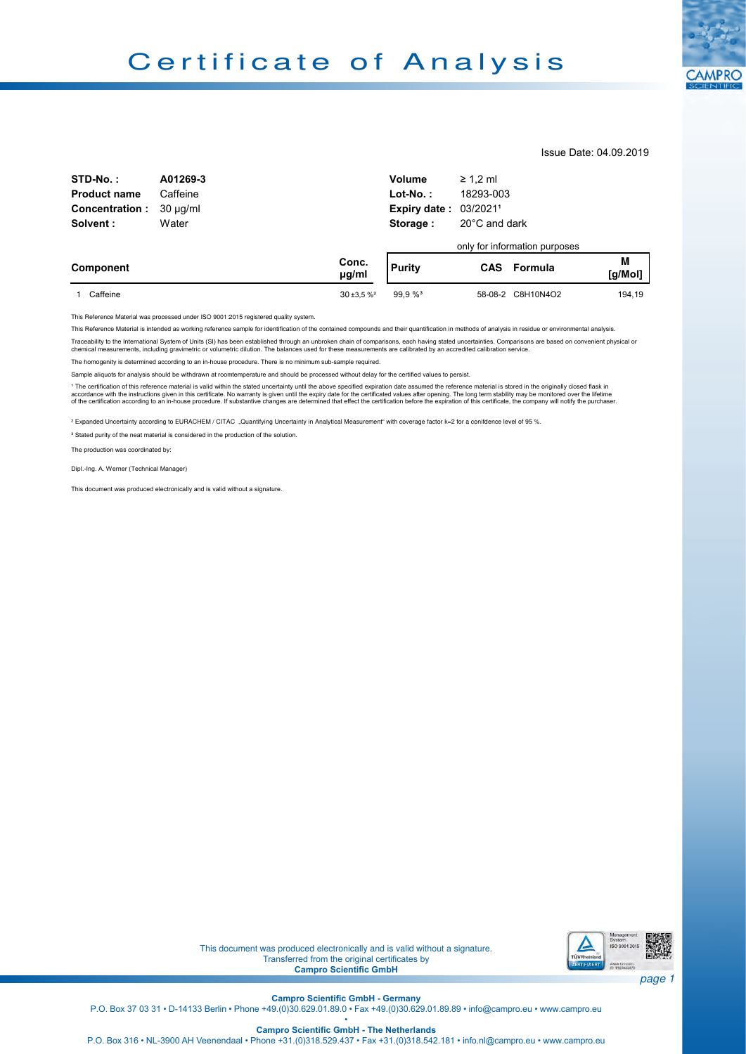

Issue Date: 04.09.2019

| STD-No.:              | A01269-3      |                     | <b>Volume</b>       | $\geq 1.2$ ml |                               |              |
|-----------------------|---------------|---------------------|---------------------|---------------|-------------------------------|--------------|
| <b>Product name</b>   | Caffeine      |                     | $Lot-No.$ :         | 18293-003     |                               |              |
| <b>Concentration:</b> | $30 \mu q/ml$ |                     | <b>Expiry date:</b> | 03/20211      |                               |              |
| Solvent:              | Water         |                     | Storage:            | 20°C and dark |                               |              |
|                       |               |                     |                     |               | only for information purposes |              |
| Component             |               | Conc.<br>$\mu$ g/ml | Purity              | <b>CAS</b>    | Formula                       | M<br>[g/Mol] |
| Caffeine              |               | $30 + 3.5 %$        | 99.9 % <sup>3</sup> |               | 58-08-2 C8H10N4O2             | 194.19       |

This Reference Material was processed under ISO 9001:2015 registered quality system.

This Reference Material is intended as working reference sample for identification of the contained compounds and their quantification in methods of analysis in residue or environmental analysis.

Traceability to the International System of Units (SI) has been established through an unbroken chain of comparisons, each having stated uncertainties. Comparisons are based on convenient physical or<br>chemical measurements,

The homogenity is determined according to an in-house procedure. There is no minimum sub-sample required.

Sample aliquots for analysis should be withdrawn at roomtemperature and should be processed without delay for the certified values to persist.

<sup>1</sup> The certification of this reference material is valid within the stated uncertainty until the above specified expiration date assumed the reference material is stored in the originally closed flask in accordance with the instructions given in this certificate. No warranty is given until the expiry date for the certificated values after opening. The long term stability may be monitored over the lifetime<br>of the certificat

² Expanded Uncertainty according to EURACHEM / CITAC "Quantifying Uncertainty in Analytical Measurement" with coverage factor k=2 for a conifdence level of 95 %.

<sup>3</sup> Stated purity of the neat material is considered in the production of the solution.

The production was coordinated by:

Dipl.-Ing. A. Werner (Technical Manager)

This document was produced electronically and is valid without a signature.



This document was produced electronically and is valid without a signature. Transferred from the original certificates by **Campro Scientific GmbH** 

**Campro Scientiic GmbH - Germany** •

P.O. Box 37 03 31 • D-14133 Berlin • Phone +49.(0)30.629.01.89.0 • Fax +49.(0)30.629.01.89.89 • info@campro.eu •<www.campro.eu>

**Campro Scientiic GmbH - The Netherlands** P.O. Box 316 • NL-3900 AH Veenendaal • Phone +31.(0)318.529.437 • Fax +31.(0)318.542.181 • info.nl@campro.eu • <www.campro.eu>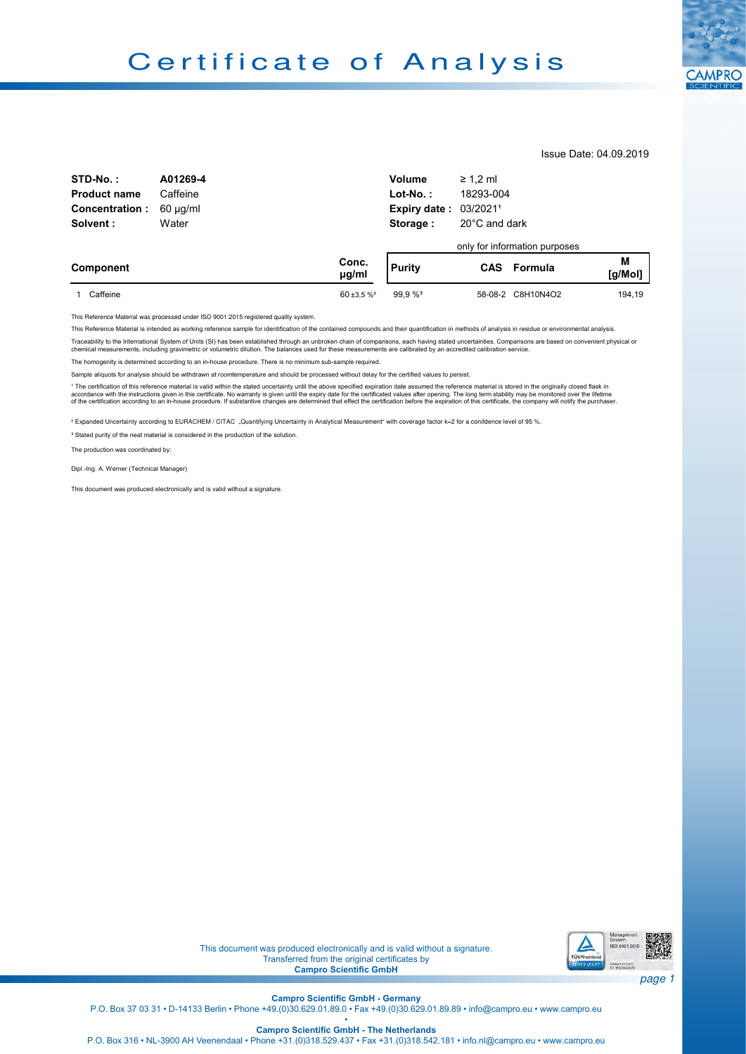

Issue Date: 04.09.2019

| STD-No.:              | A01269-4      |                     | <b>Volume</b>                | $\geq 1.2$ ml |                               |              |
|-----------------------|---------------|---------------------|------------------------------|---------------|-------------------------------|--------------|
| <b>Product name</b>   | Caffeine      |                     | $Lot-No.$ :                  | 18293-004     |                               |              |
| <b>Concentration:</b> | $60 \mu q/ml$ |                     | <b>Expiry date: 03/20211</b> |               |                               |              |
| Solvent:              | Water         |                     | Storage:                     | 20°C and dark |                               |              |
|                       |               |                     |                              |               | only for information purposes |              |
| Component             |               | Conc.<br>$\mu$ g/ml | <b>Purity</b>                | <b>CAS</b>    | Formula                       | M<br>[g/Mol] |
| Caffeine              |               | $60 + 3.5 %$        | 99.9%                        |               | 58-08-2 C8H10N4O2             | 194.19       |

This Reference Material was processed under ISO 9001:2015 registered quality system.

This Reference Material is intended as working reference sample for identification of the contained compounds and their quantification in methods of analysis in residue or environmental analysis.

Traceability to the International System of Units (SI) has been established through an unbroken chain of comparisons, each having stated uncertainties. Comparisons are based on convenient physical or<br>chemical measurements,

The homogenity is determined according to an in-house procedure. There is no minimum sub-sample required.

Sample aliquots for analysis should be withdrawn at roomtemperature and should be processed without delay for the certified values to persist.

<sup>1</sup> The certification of this reference material is valid within the stated uncertainty until the above specified expiration date assumed the reference material is stored in the originally closed flask in accordance with the instructions given in this certificate. No warranty is given until the expiry date for the certificated values after opening. The long term stability may be monitored over the lifetime<br>of the certificat

² Expanded Uncertainty according to EURACHEM / CITAC "Quantifying Uncertainty in Analytical Measurement" with coverage factor k=2 for a conifdence level of 95 %.

<sup>3</sup> Stated purity of the neat material is considered in the production of the solution.

The production was coordinated by:

Dipl.-Ing. A. Werner (Technical Manager)

This document was produced electronically and is valid without a signature.



This document was produced electronically and is valid without a signature. Transferred from the original certificates by **Campro Scientific GmbH** 

**Campro Scientiic GmbH - Germany** •

P.O. Box 37 03 31 • D-14133 Berlin • Phone +49.(0)30.629.01.89.0 • Fax +49.(0)30.629.01.89.89 • info@campro.eu •<www.campro.eu>

**Campro Scientiic GmbH - The Netherlands** P.O. Box 316 • NL-3900 AH Veenendaal • Phone +31.(0)318.529.437 • Fax +31.(0)318.542.181 • info.nl@campro.eu • <www.campro.eu>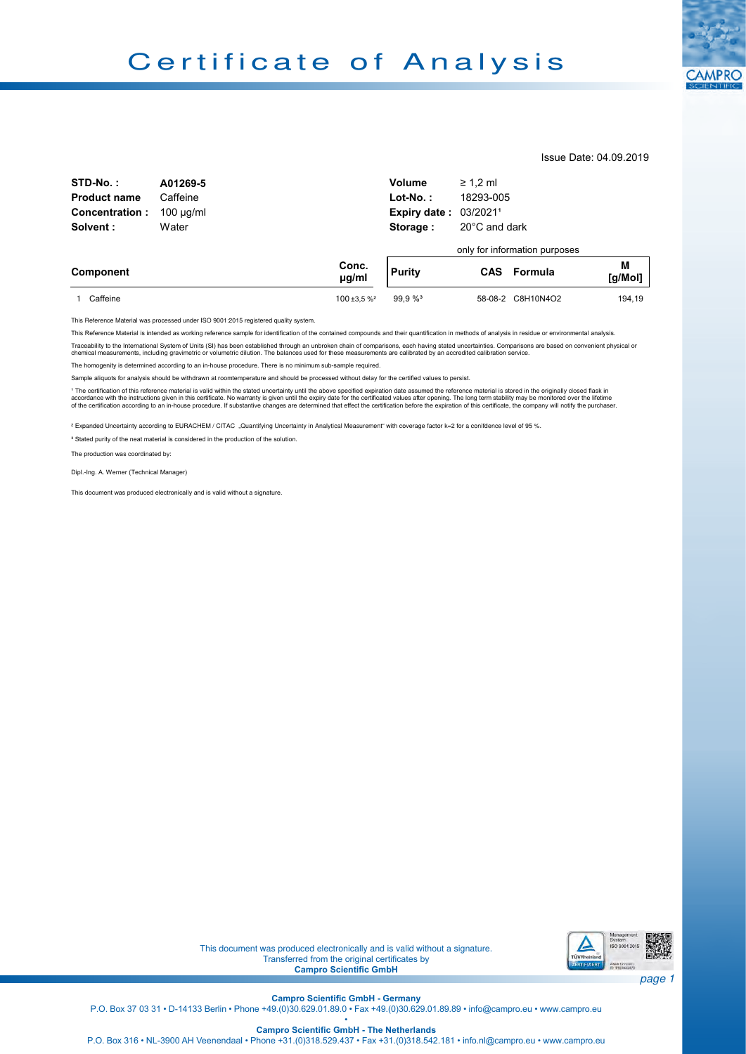

Issue Date: 04.09.2019

| STD-No.:              | A01269-5       |                     | Volume                       | $\geq 1.2$ ml |                               |              |
|-----------------------|----------------|---------------------|------------------------------|---------------|-------------------------------|--------------|
| <b>Product name</b>   | Caffeine       |                     | $Lot-No.$ :                  | 18293-005     |                               |              |
| <b>Concentration:</b> | $100 \mu q/ml$ |                     | <b>Expiry date: 03/20211</b> |               |                               |              |
| Solvent:<br>Water     |                |                     | 20°C and dark<br>Storage:    |               |                               |              |
|                       |                |                     |                              |               | only for information purposes |              |
| Component             |                | Conc.<br>$\mu$ g/ml | <b>Purity</b>                | <b>CAS</b>    | Formula                       | M<br>[g/Mol] |
| Caffeine              |                | $100 + 3.5 \%$      | 99.9 % <sup>3</sup>          |               | 58-08-2 C8H10N4O2             | 194.19       |

This Reference Material was processed under ISO 9001:2015 registered quality system.

This Reference Material is intended as working reference sample for identification of the contained compounds and their quantification in methods of analysis in residue or environmental analysis.

Traceability to the International System of Units (SI) has been established through an unbroken chain of comparisons, each having stated uncertainties. Comparisons are based on convenient physical or<br>chemical measurements,

The homogenity is determined according to an in-house procedure. There is no minimum sub-sample required.

Sample aliquots for analysis should be withdrawn at roomtemperature and should be processed without delay for the certified values to persist.

<sup>1</sup> The certification of this reference material is valid within the stated uncertainty until the above specified expiration date assumed the reference material is stored in the originally closed flask in accordance with the instructions given in this certificate. No warranty is given until the expiry date for the certificated values after opening. The long term stability may be monitored over the lifetime<br>of the certificat

² Expanded Uncertainty according to EURACHEM / CITAC "Quantifying Uncertainty in Analytical Measurement" with coverage factor k=2 for a conifdence level of 95 %.

<sup>3</sup> Stated purity of the neat material is considered in the production of the solution.

The production was coordinated by:

Dipl.-Ing. A. Werner (Technical Manager)

This document was produced electronically and is valid without a signature.



This document was produced electronically and is valid without a signature. Transferred from the original certificates by **Campro Scientific GmbH** 

**Campro Scientiic GmbH - Germany**

P.O. Box 37 03 31 • D-14133 Berlin • Phone +49.(0)30.629.01.89.0 • Fax +49.(0)30.629.01.89.89 • info@campro.eu •<www.campro.eu>

**Campro Scientiic GmbH - The Netherlands**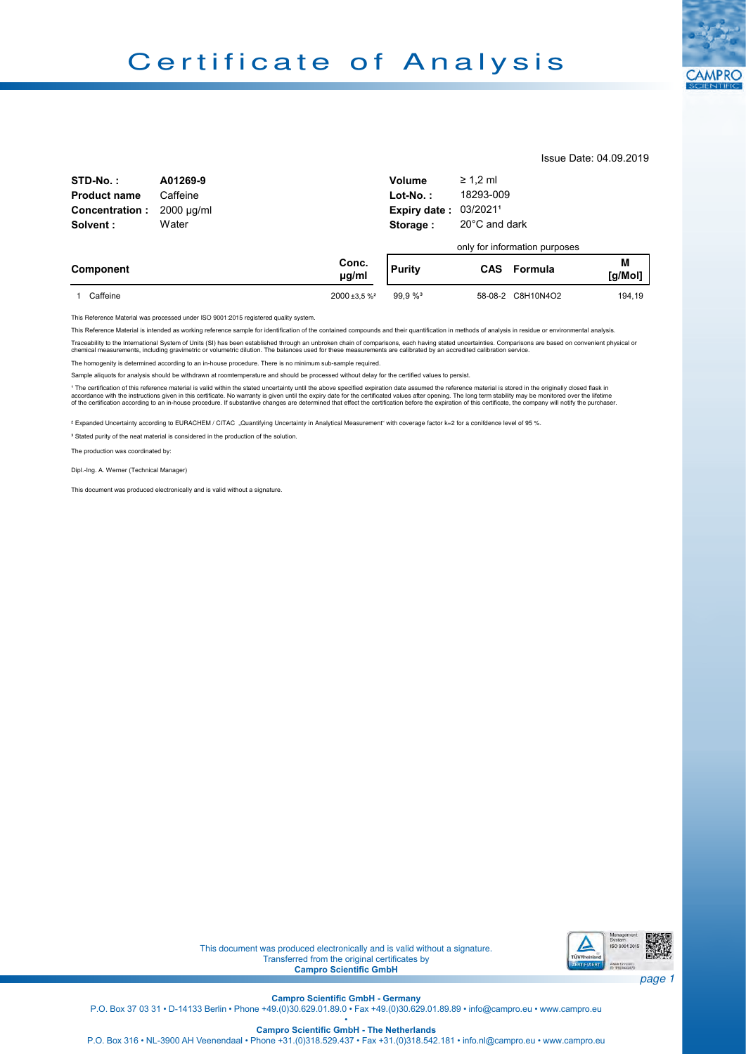

Issue Date: 04.09.2019

| STD-No.:              | A01269-9        |                     | Volume                              | $\geq 1.2$ ml |                               |              |
|-----------------------|-----------------|---------------------|-------------------------------------|---------------|-------------------------------|--------------|
| <b>Product name</b>   | Caffeine        |                     | $Lot-No.$ :                         | 18293-009     |                               |              |
| <b>Concentration:</b> | $2000 \mu q/ml$ |                     | Expiry date:                        | 03/20211      |                               |              |
| Water<br>Solvent:     |                 |                     | $20^{\circ}$ C and dark<br>Storage: |               |                               |              |
|                       |                 |                     |                                     |               | only for information purposes |              |
| Component             |                 | Conc.<br>$\mu$ g/ml | <b>Purity</b>                       |               | <b>CAS</b> Formula            | M<br>[g/Mol] |
| Caffeine              |                 | $2000 + 3.5 \%$     | 99.9%                               |               | 58-08-2 C8H10N4O2             | 194.19       |

This Reference Material was processed under ISO 9001:2015 registered quality system.

This Reference Material is intended as working reference sample for identification of the contained compounds and their quantification in methods of analysis in residue or environmental analysis.

Traceability to the International System of Units (SI) has been established through an unbroken changerisons, each having stated uncertainties. Comparisons are based on convenient physical or<br>chemical measurements, includi

The homogenity is determined according to an in-house procedure. There is no minimum sub-sample required.

Sample aliquots for analysis should be withdrawn at roomtemperature and should be processed without delay for the certified values to persist.

<sup>1</sup> The certification of this reference material is valid within the stated uncertainty until the above specified expiration date assumed the reference material is stored in the originally closed flask in accordance with the instructions given in this certificate. No warranty is given until the expiry date for the certificated values after opening. The long term stability may be monitored over the lifetime<br>of the certificat

² Expanded Uncertainty according to EURACHEM / CITAC "Quantifying Uncertainty in Analytical Measurement" with coverage factor k=2 for a conifdence level of 95 %.

<sup>3</sup> Stated purity of the neat material is considered in the production of the solution.

The production was coordinated by:

Dipl.-Ing. A. Werner (Technical Manager)

This document was produced electronically and is valid without a signature.



This document was produced electronically and is valid without a signature. Transferred from the original certificates by **Campro Scientific GmbH** 

**Campro Scientiic GmbH - Germany**

P.O. Box 37 03 31 • D-14133 Berlin • Phone +49.(0)30.629.01.89.0 • Fax +49.(0)30.629.01.89.89 • info@campro.eu •<www.campro.eu>

**Campro Scientiic GmbH - The Netherlands**